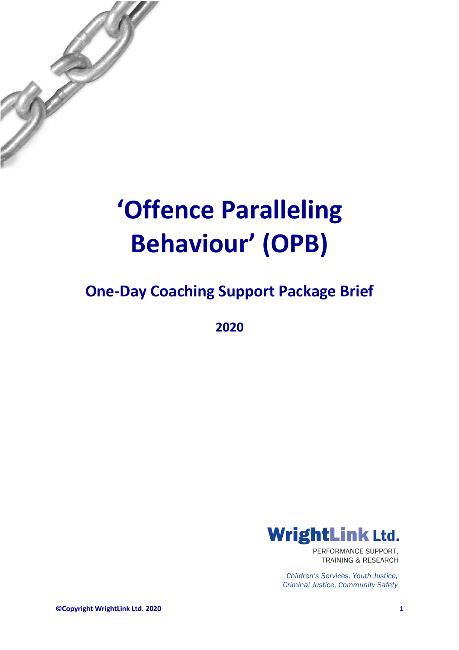

## **'Offence Paralleling Behaviour' (OPB)**

### **One-Day Coaching Support Package Brief**

**2020**



PERFORMANCE SUPPORT. **TRAINING & RESEARCH** 

Children's Services, Youth Justice, **Criminal Justice, Community Safety** 

**©Copyright WrightLink Ltd. 2020 1**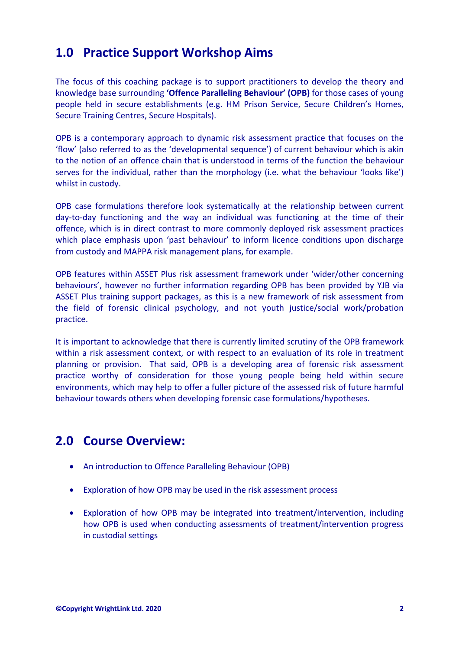#### **1.0 Practice Support Workshop Aims**

The focus of this coaching package is to support practitioners to develop the theory and knowledge base surrounding **'Offence Paralleling Behaviour' (OPB)** for those cases of young people held in secure establishments (e.g. HM Prison Service, Secure Children's Homes, Secure Training Centres, Secure Hospitals).

OPB is a contemporary approach to dynamic risk assessment practice that focuses on the 'flow' (also referred to as the 'developmental sequence') of current behaviour which is akin to the notion of an offence chain that is understood in terms of the function the behaviour serves for the individual, rather than the morphology (i.e. what the behaviour 'looks like') whilst in custody.

OPB case formulations therefore look systematically at the relationship between current day-to-day functioning and the way an individual was functioning at the time of their offence, which is in direct contrast to more commonly deployed risk assessment practices which place emphasis upon 'past behaviour' to inform licence conditions upon discharge from custody and MAPPA risk management plans, for example.

OPB features within ASSET Plus risk assessment framework under 'wider/other concerning behaviours', however no further information regarding OPB has been provided by YJB via ASSET Plus training support packages, as this is a new framework of risk assessment from the field of forensic clinical psychology, and not youth justice/social work/probation practice.

It is important to acknowledge that there is currently limited scrutiny of the OPB framework within a risk assessment context, or with respect to an evaluation of its role in treatment planning or provision. That said, OPB is a developing area of forensic risk assessment practice worthy of consideration for those young people being held within secure environments, which may help to offer a fuller picture of the assessed risk of future harmful behaviour towards others when developing forensic case formulations/hypotheses.

#### **2.0 Course Overview:**

- An introduction to Offence Paralleling Behaviour (OPB)
- Exploration of how OPB may be used in the risk assessment process
- Exploration of how OPB may be integrated into treatment/intervention, including how OPB is used when conducting assessments of treatment/intervention progress in custodial settings